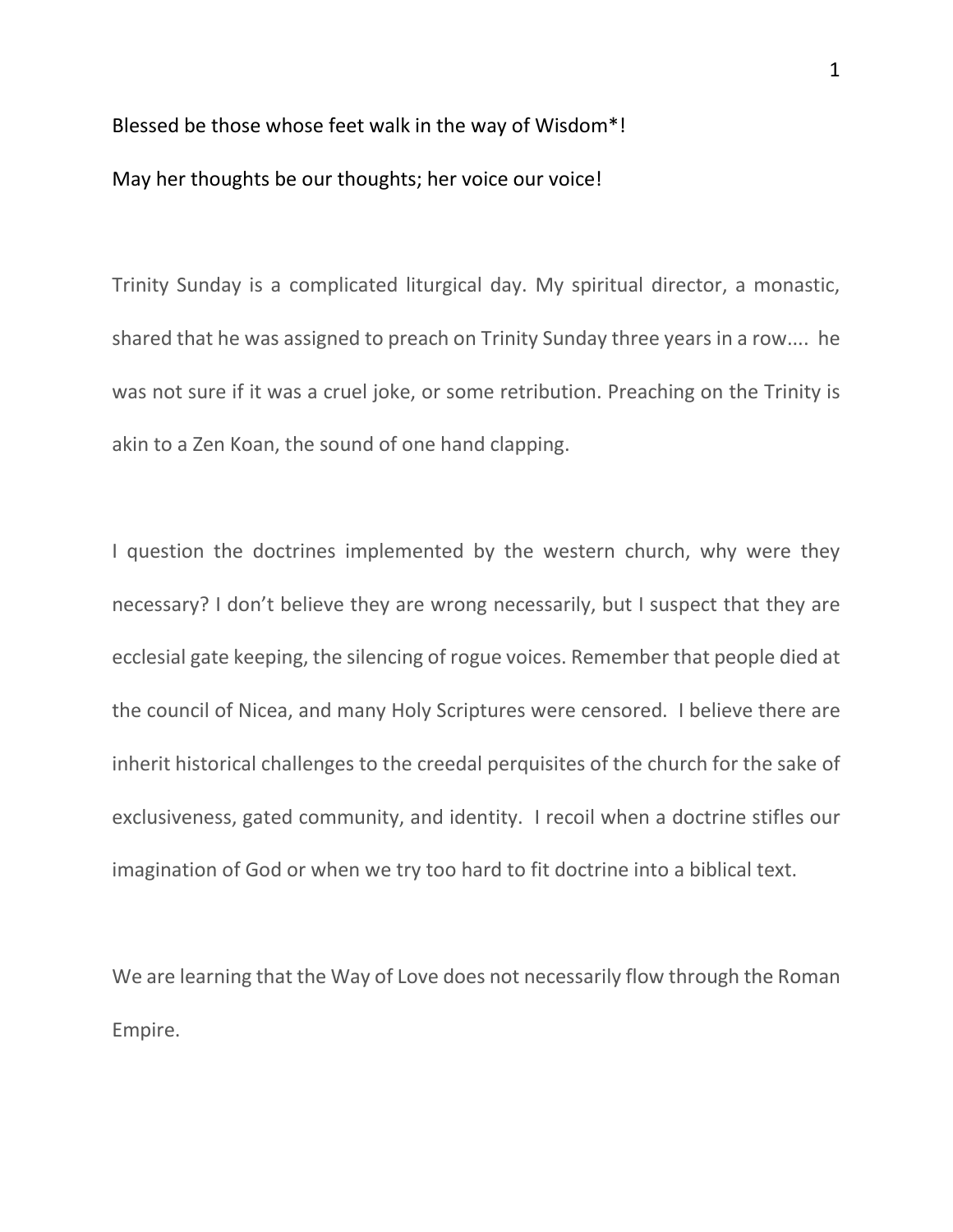Blessed be those whose feet walk in the way of Wisdom\*! May her thoughts be our thoughts; her voice our voice!

Trinity Sunday is a complicated liturgical day. My spiritual director, a monastic, shared that he was assigned to preach on Trinity Sunday three years in a row.... he was not sure if it was a cruel joke, or some retribution. Preaching on the Trinity is akin to a Zen Koan, the sound of one hand clapping.

I question the doctrines implemented by the western church, why were they necessary? I don't believe they are wrong necessarily, but I suspect that they are ecclesial gate keeping, the silencing of rogue voices. Remember that people died at the council of Nicea, and many Holy Scriptures were censored. I believe there are inherit historical challenges to the creedal perquisites of the church for the sake of exclusiveness, gated community, and identity. I recoil when a doctrine stifles our imagination of God or when we try too hard to fit doctrine into a biblical text.

We are learning that the Way of Love does not necessarily flow through the Roman Empire.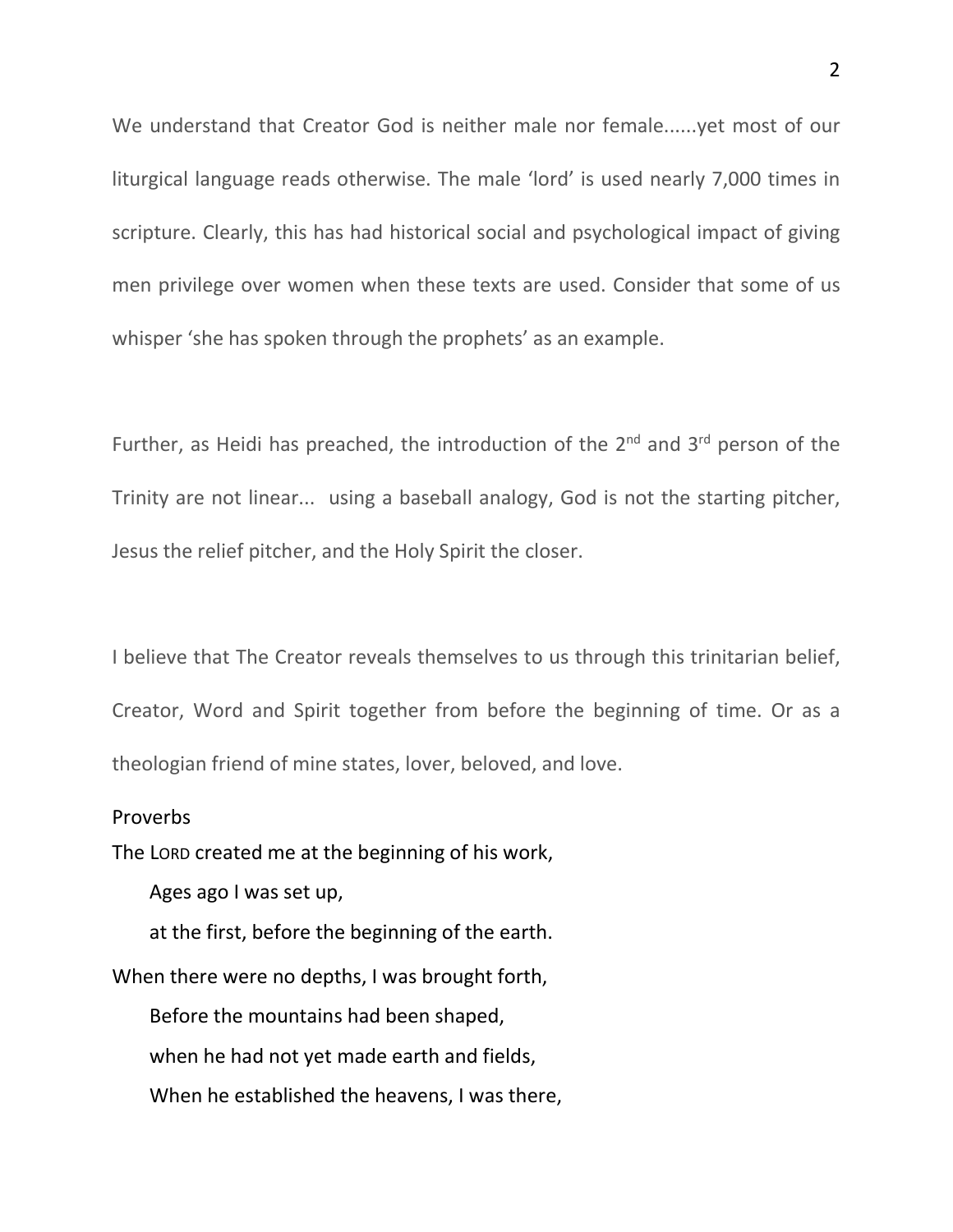We understand that Creator God is neither male nor female......yet most of our liturgical language reads otherwise. The male 'lord' is used nearly 7,000 times in scripture. Clearly, this has had historical social and psychological impact of giving men privilege over women when these texts are used. Consider that some of us whisper 'she has spoken through the prophets' as an example.

Further, as Heidi has preached, the introduction of the  $2^{nd}$  and  $3^{rd}$  person of the Trinity are not linear... using a baseball analogy, God is not the starting pitcher, Jesus the relief pitcher, and the Holy Spirit the closer.

I believe that The Creator reveals themselves to us through this trinitarian belief, Creator, Word and Spirit together from before the beginning of time. Or as a theologian friend of mine states, lover, beloved, and love.

## Proverbs

The LORD created me at the beginning of his work,

Ages ago I was set up,

at the first, before the beginning of the earth.

When there were no depths, I was brought forth,

Before the mountains had been shaped,

when he had not yet made earth and fields,

When he established the heavens, I was there,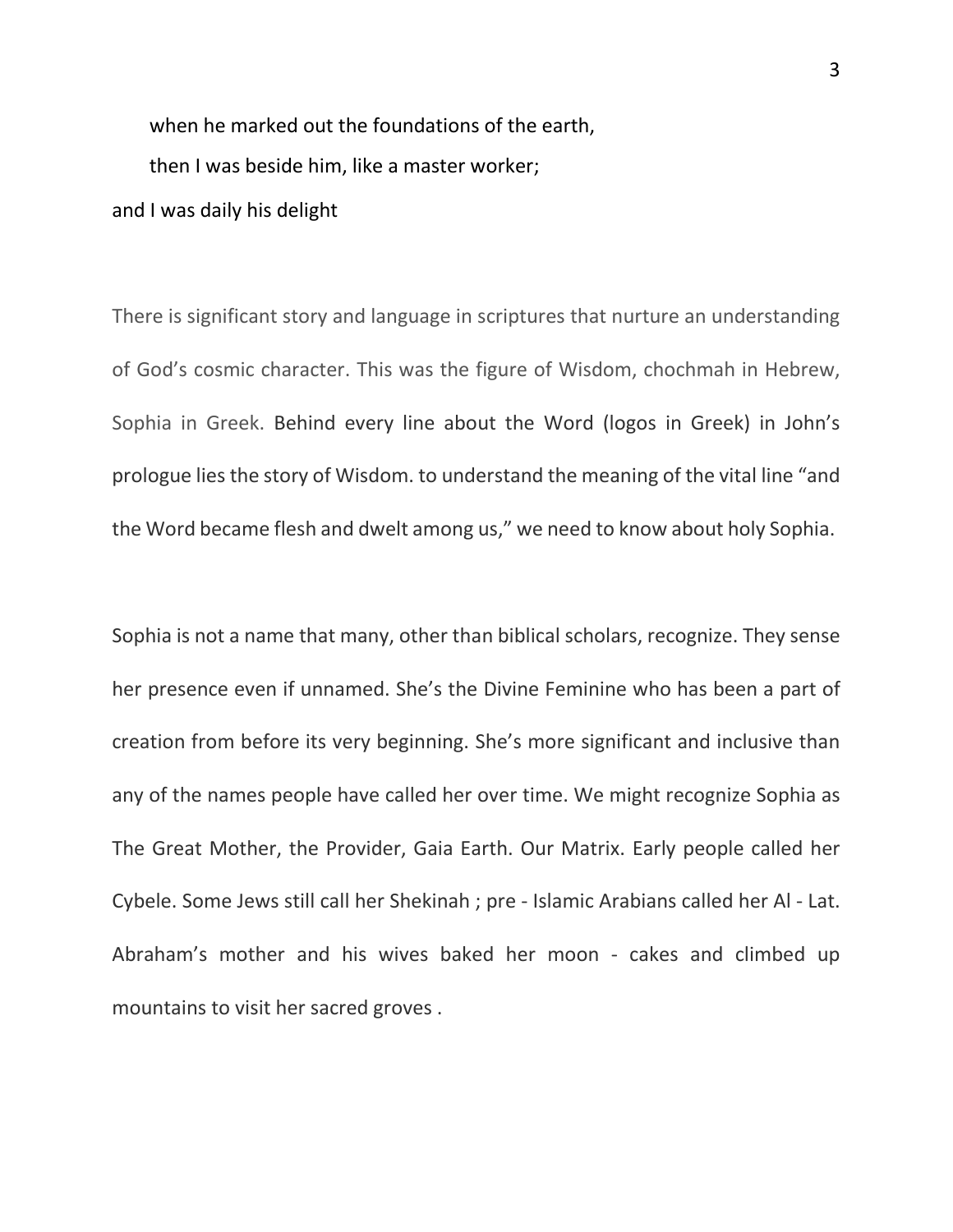when he marked out the foundations of the earth, then I was beside him, like a master worker;

and I was daily his delight

There is significant story and language in scriptures that nurture an understanding of God's cosmic character. This was the figure of Wisdom, chochmah in Hebrew, Sophia in Greek. Behind every line about the Word (logos in Greek) in John's prologue lies the story of Wisdom. to understand the meaning of the vital line "and the Word became flesh and dwelt among us," we need to know about holy Sophia.

Sophia is not a name that many, other than biblical scholars, recognize. They sense her presence even if unnamed. She's the Divine Feminine who has been a part of creation from before its very beginning. She's more significant and inclusive than any of the names people have called her over time. We might recognize Sophia as The Great Mother, the Provider, Gaia Earth. Our Matrix. Early people called her Cybele. Some Jews still call her Shekinah ; pre - Islamic Arabians called her Al - Lat. Abraham's mother and his wives baked her moon - cakes and climbed up mountains to visit her sacred groves .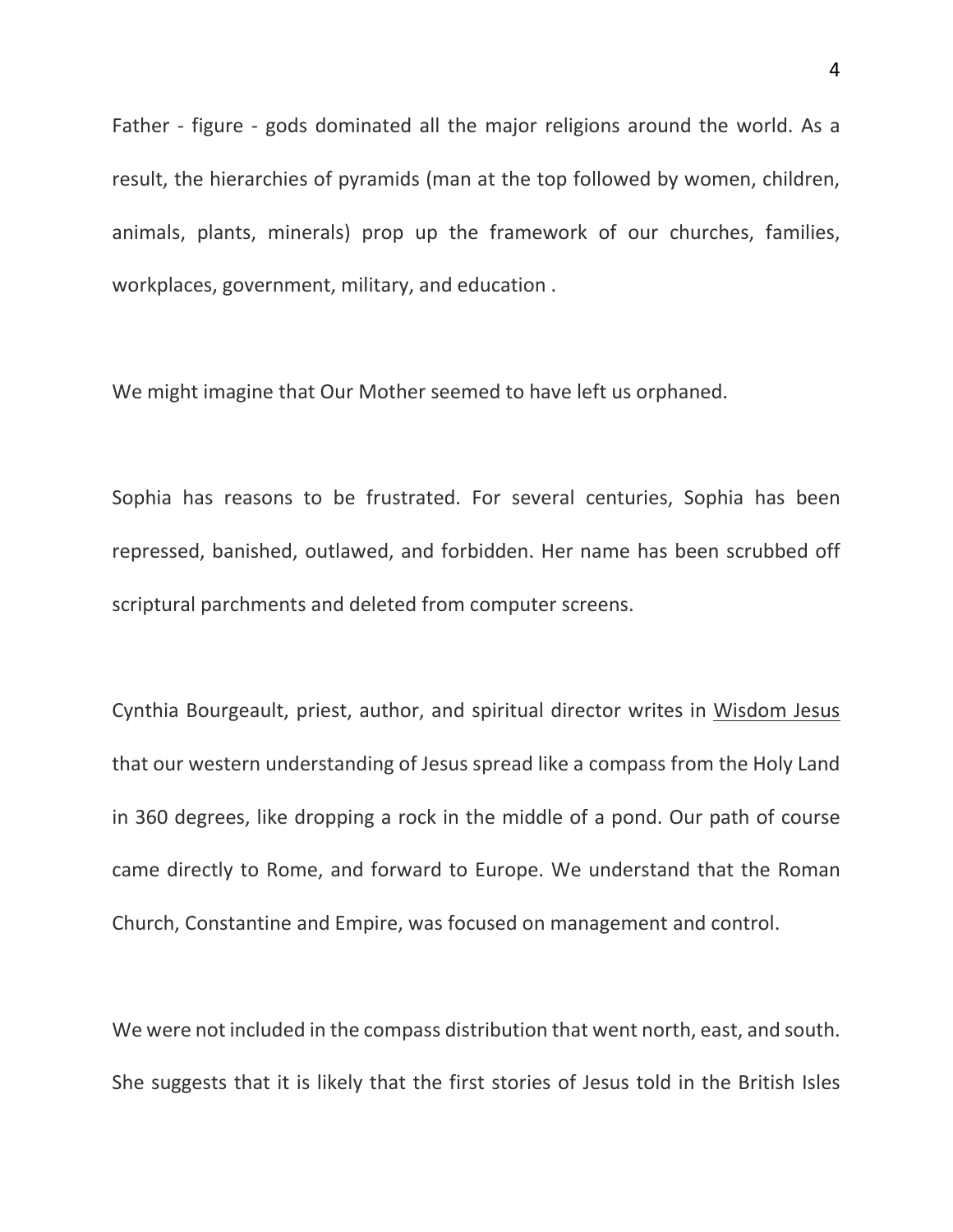Father - figure - gods dominated all the major religions around the world. As a result, the hierarchies of pyramids (man at the top followed by women, children, animals, plants, minerals) prop up the framework of our churches, families, workplaces, government, military, and education .

We might imagine that Our Mother seemed to have left us orphaned.

Sophia has reasons to be frustrated. For several centuries, Sophia has been repressed, banished, outlawed, and forbidden. Her name has been scrubbed off scriptural parchments and deleted from computer screens.

Cynthia Bourgeault, priest, author, and spiritual director writes in Wisdom Jesus that our western understanding of Jesus spread like a compass from the Holy Land in 360 degrees, like dropping a rock in the middle of a pond. Our path of course came directly to Rome, and forward to Europe. We understand that the Roman Church, Constantine and Empire, was focused on management and control.

We were not included in the compass distribution that went north, east, and south. She suggests that it is likely that the first stories of Jesus told in the British Isles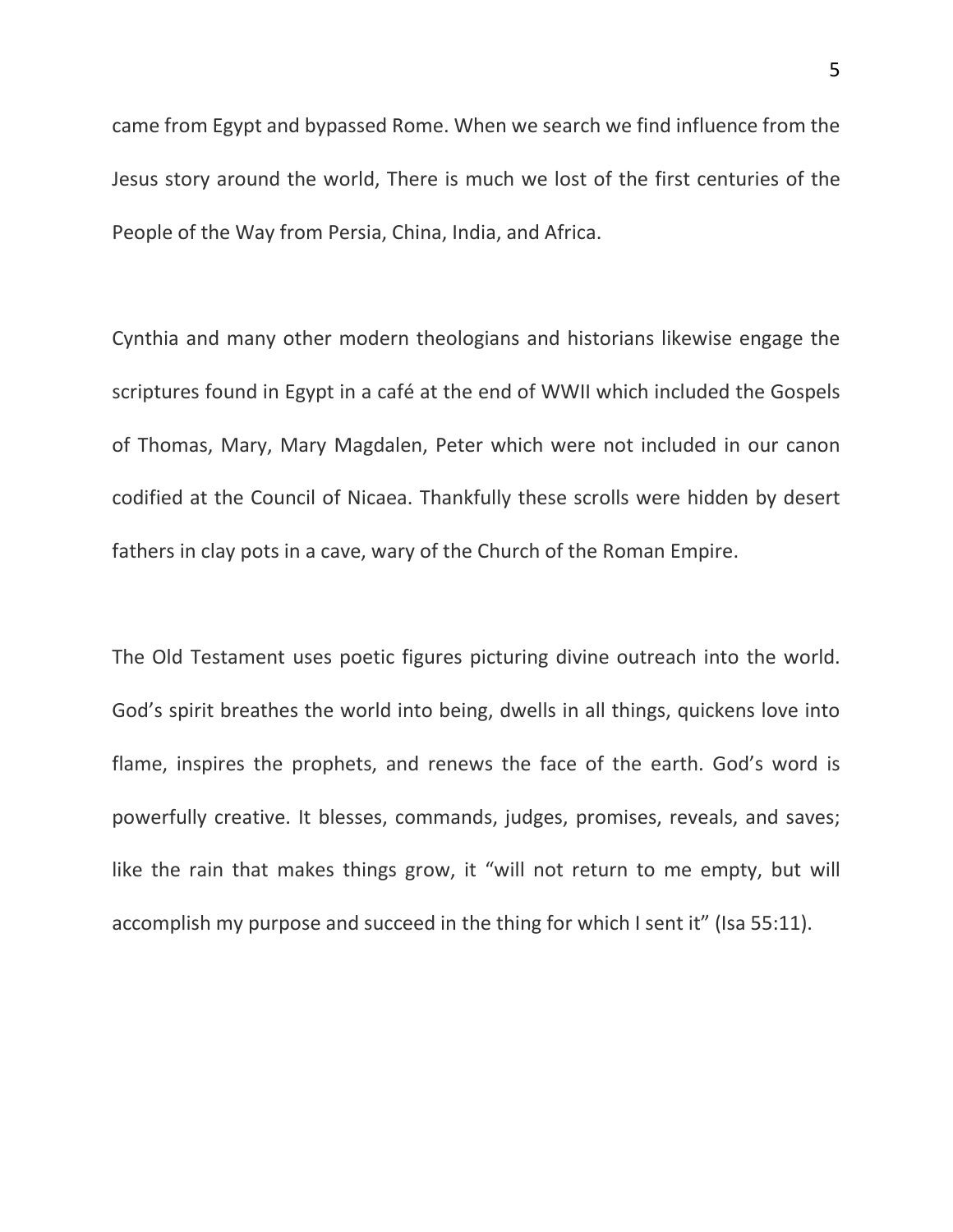came from Egypt and bypassed Rome. When we search we find influence from the Jesus story around the world, There is much we lost of the first centuries of the People of the Way from Persia, China, India, and Africa.

Cynthia and many other modern theologians and historians likewise engage the scriptures found in Egypt in a café at the end of WWII which included the Gospels of Thomas, Mary, Mary Magdalen, Peter which were not included in our canon codified at the Council of Nicaea. Thankfully these scrolls were hidden by desert fathers in clay pots in a cave, wary of the Church of the Roman Empire.

The Old Testament uses poetic figures picturing divine outreach into the world. God's spirit breathes the world into being, dwells in all things, quickens love into flame, inspires the prophets, and renews the face of the earth. God's word is powerfully creative. It blesses, commands, judges, promises, reveals, and saves; like the rain that makes things grow, it "will not return to me empty, but will accomplish my purpose and succeed in the thing for which I sent it" (Isa 55:11).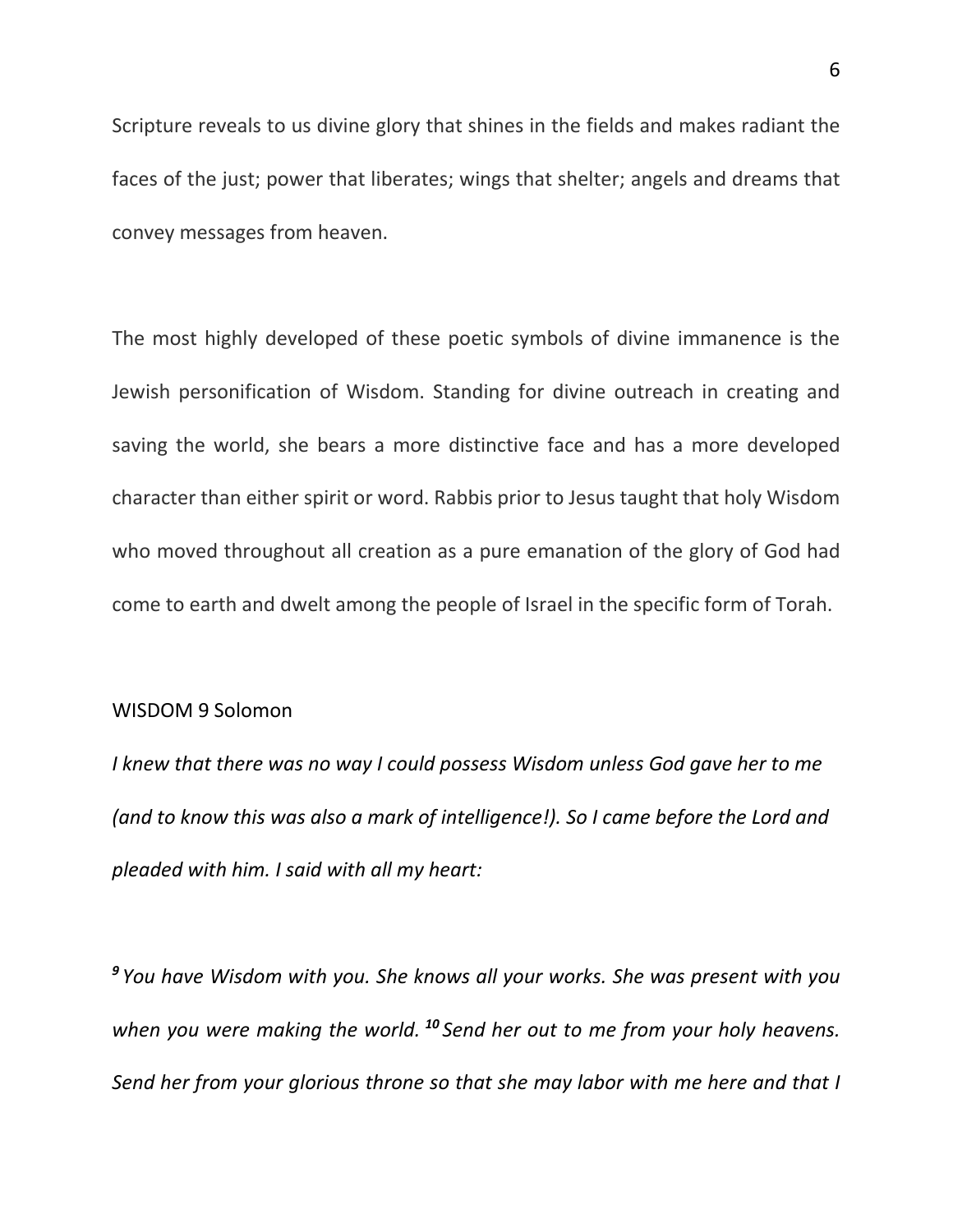Scripture reveals to us divine glory that shines in the fields and makes radiant the faces of the just; power that liberates; wings that shelter; angels and dreams that convey messages from heaven.

The most highly developed of these poetic symbols of divine immanence is the Jewish personification of Wisdom. Standing for divine outreach in creating and saving the world, she bears a more distinctive face and has a more developed character than either spirit or word. Rabbis prior to Jesus taught that holy Wisdom who moved throughout all creation as a pure emanation of the glory of God had come to earth and dwelt among the people of Israel in the specific form of Torah.

## WISDOM 9 Solomon

*I knew that there was no way I could possess Wisdom unless God gave her to me (and to know this was also a mark of intelligence!). So I came before the Lord and pleaded with him. I said with all my heart:*

*<sup>9</sup> You have Wisdom with you. She knows all your works. She was present with you when you were making the world. <sup>10</sup> Send her out to me from your holy heavens. Send her from your glorious throne so that she may labor with me here and that I*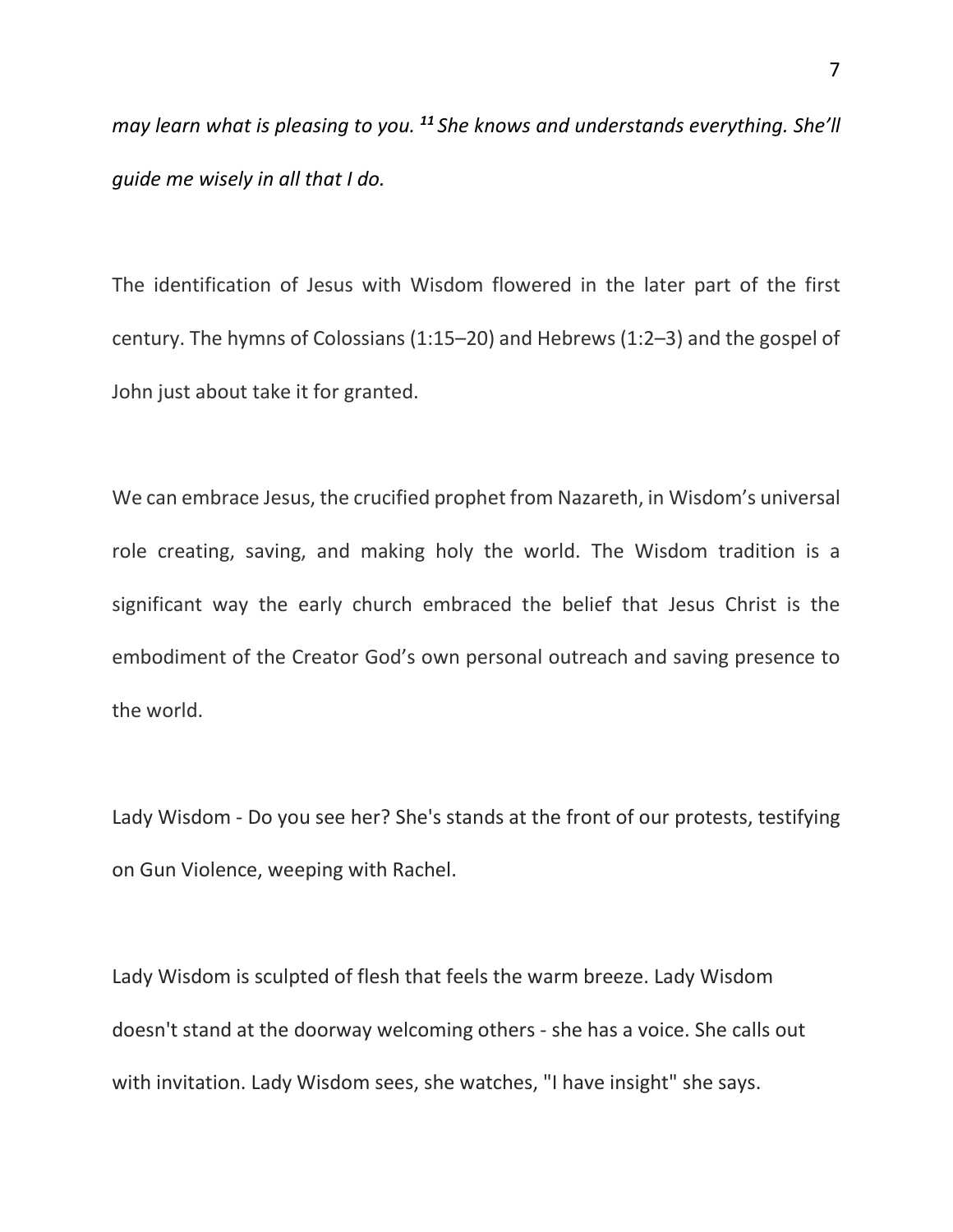*may learn what is pleasing to you. <sup>11</sup> She knows and understands everything. She'll guide me wisely in all that I do.* 

The identification of Jesus with Wisdom flowered in the later part of the first century. The hymns of Colossians (1:15–20) and Hebrews (1:2–3) and the gospel of John just about take it for granted.

We can embrace Jesus, the crucified prophet from Nazareth, in Wisdom's universal role creating, saving, and making holy the world. The Wisdom tradition is a significant way the early church embraced the belief that Jesus Christ is the embodiment of the Creator God's own personal outreach and saving presence to the world.

Lady Wisdom - Do you see her? She's stands at the front of our protests, testifying on Gun Violence, weeping with Rachel.

Lady Wisdom is sculpted of flesh that feels the warm breeze. Lady Wisdom doesn't stand at the doorway welcoming others - she has a voice. She calls out with invitation. Lady Wisdom sees, she watches, "I have insight" she says.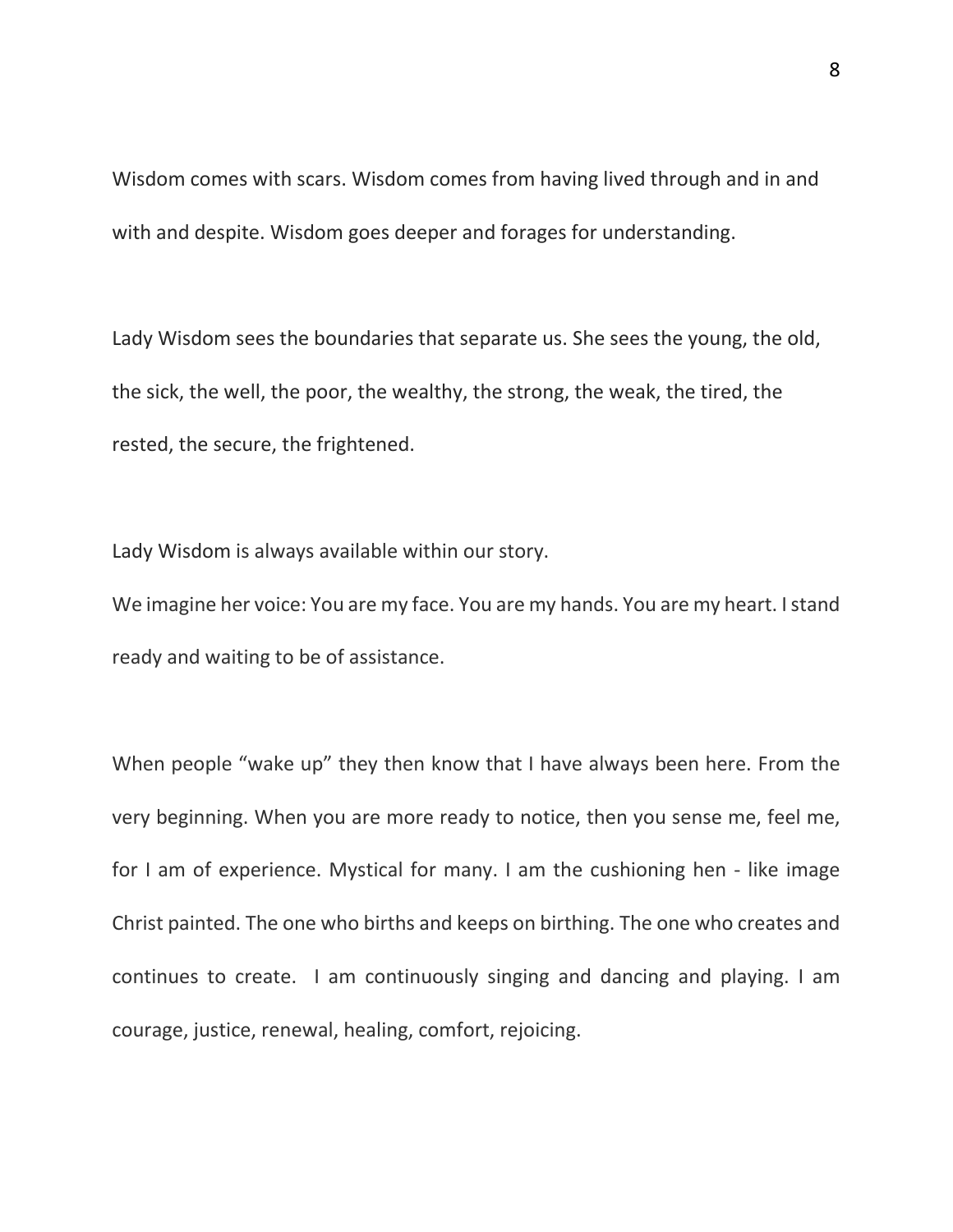Wisdom comes with scars. Wisdom comes from having lived through and in and with and despite. Wisdom goes deeper and forages for understanding.

Lady Wisdom sees the boundaries that separate us. She sees the young, the old, the sick, the well, the poor, the wealthy, the strong, the weak, the tired, the rested, the secure, the frightened.

Lady Wisdom is always available within our story.

We imagine her voice: You are my face. You are my hands. You are my heart. I stand ready and waiting to be of assistance.

When people "wake up" they then know that I have always been here. From the very beginning. When you are more ready to notice, then you sense me, feel me, for I am of experience. Mystical for many. I am the cushioning hen - like image Christ painted. The one who births and keeps on birthing. The one who creates and continues to create. I am continuously singing and dancing and playing. I am courage, justice, renewal, healing, comfort, rejoicing.